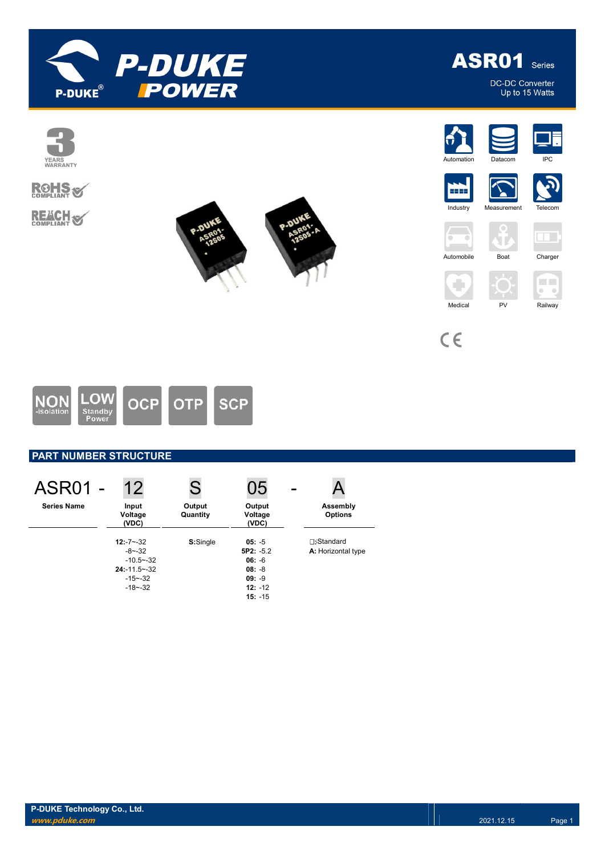

**ASR01** Series

DC-DC Converter<br>Up to 15 Watts





# **PART NUMBER STRUCTURE**

| <b>ASR01 -</b>     | 12                                                                                               | S                  | 05                                                                                    |                                         |
|--------------------|--------------------------------------------------------------------------------------------------|--------------------|---------------------------------------------------------------------------------------|-----------------------------------------|
| <b>Series Name</b> | Input<br>Voltage<br>(VDC)                                                                        | Output<br>Quantity | Output<br>Voltage<br>(VDC)                                                            | Assembly<br><b>Options</b>              |
|                    | $12: -7 - -32$<br>$-8 - -32$<br>$-10.5 - -32$<br>$24: -11.5 - -32$<br>$-15 - -32$<br>$-18 - -32$ | S:Single           | $05: -5$<br>$5P2: -5.2$<br>$06: -6$<br>$08: -8$<br>$09: -9$<br>$12: -12$<br>$15: -15$ | <b>⊓:Standard</b><br>A: Horizontal type |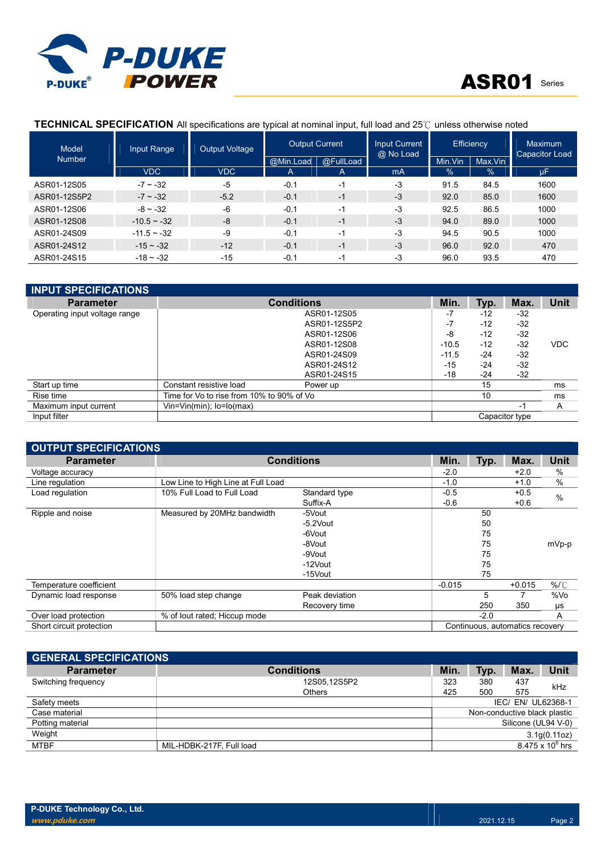

# ASR01 Series

# TECHNICAL SPECIFICATION All specifications are typical at nominal input, full load and 25℃ unless otherwise noted

| Model         | Input Range   | <b>Output Voltage</b> | <b>Output Current</b> |              | <b>Input Current</b><br>@ No Load | <b>Efficiency</b>  |      | <b>Maximum</b><br><b>Capacitor Load</b> |  |
|---------------|---------------|-----------------------|-----------------------|--------------|-----------------------------------|--------------------|------|-----------------------------------------|--|
| <b>Number</b> |               |                       | @Min.Load             | @FullLoad    |                                   | Max.Vin<br>Min.Vin |      |                                         |  |
|               | <b>VDC</b>    | <b>VDC</b>            | $\mathsf{A}$          | $\mathsf{A}$ | mA                                | $\frac{1}{2}$      | $\%$ | μF                                      |  |
| ASR01-12S05   | $-7 - -32$    | -5                    | $-0.1$                | -1           | $-3$                              | 91.5               | 84.5 | 1600                                    |  |
| ASR01-12S5P2  | $-7 \sim -32$ | $-5.2$                | $-0.1$                | $-1$         | $-3$                              | 92.0               | 85.0 | 1600                                    |  |
| ASR01-12S06   | $-8 - -32$    | -6                    | $-0.1$                | $-1$         | -3                                | 92.5               | 86.5 | 1000                                    |  |
| ASR01-12S08   | $-10.5 - 32$  | $-8$                  | $-0.1$                | $-1$         | $-3$                              | 94.0               | 89.0 | 1000                                    |  |
| ASR01-24S09   | $-11.5 - 32$  | $-9$                  | $-0.1$                | $-1$         | -3                                | 94.5               | 90.5 | 1000                                    |  |
| ASR01-24S12   | $-15 - -32$   | $-12$                 | $-0.1$                | $-1$         | $-3$                              | 96.0               | 92.0 | 470                                     |  |
| ASR01-24S15   | $-18 - -32$   | $-15$                 | $-0.1$                | -1           | $-3$                              | 96.0               | 93.5 | 470                                     |  |

| <b>INPUT SPECIFICATIONS</b>   |                                           |                   |         |       |                |             |
|-------------------------------|-------------------------------------------|-------------------|---------|-------|----------------|-------------|
| <b>Parameter</b>              |                                           | <b>Conditions</b> | Min.    | Typ.  | Max.           | <b>Unit</b> |
| Operating input voltage range |                                           | ASR01-12S05       | -7      | $-12$ | $-32$          |             |
|                               |                                           | ASR01-12S5P2      | -7      | $-12$ | $-32$          |             |
|                               |                                           | ASR01-12S06       | -8      | $-12$ | $-32$          |             |
|                               |                                           | ASR01-12S08       | $-10.5$ | $-12$ | $-32$          | <b>VDC</b>  |
|                               |                                           | ASR01-24S09       | $-11.5$ | -24   | $-32$          |             |
|                               |                                           | ASR01-24S12       | $-15$   | $-24$ | $-32$          |             |
|                               |                                           | ASR01-24S15       | $-18$   | $-24$ | $-32$          |             |
| Start up time                 | Constant resistive load                   | Power up          |         | 15    |                | ms          |
| Rise time                     | Time for Vo to rise from 10% to 90% of Vo |                   |         | 10    |                | ms          |
| Maximum input current         | $V$ in= $V$ in(min); lo= $I$ o(max)       |                   |         |       | -1             | A           |
| Input filter                  |                                           |                   |         |       | Capacitor type |             |

| <b>OUTPUT SPECIFICATIONS</b> |                                    |                   |          |        |          |         |  |  |
|------------------------------|------------------------------------|-------------------|----------|--------|----------|---------|--|--|
| <b>Parameter</b>             |                                    | <b>Conditions</b> | Min.     | Typ.   | Max.     | Unit    |  |  |
| Voltage accuracy             |                                    |                   | $-2.0$   |        | $+2.0$   | $\%$    |  |  |
| Line regulation              | Low Line to High Line at Full Load |                   | $-1.0$   |        | $+1.0$   | %       |  |  |
| Load regulation              | 10% Full Load to Full Load         | Standard type     | $-0.5$   |        | $+0.5$   | %       |  |  |
|                              |                                    | Suffix-A          | $-0.6$   |        | $+0.6$   |         |  |  |
| Ripple and noise             | Measured by 20MHz bandwidth        | -5Vout            |          | 50     |          |         |  |  |
|                              |                                    | $-5.2$ Vout       |          | 50     |          |         |  |  |
|                              |                                    | -6Vout            |          | 75     |          |         |  |  |
|                              |                                    | -8Vout            |          | 75     |          | mVp-p   |  |  |
|                              |                                    | -9Vout            |          | 75     |          |         |  |  |
|                              |                                    | -12Vout           |          | 75     |          |         |  |  |
|                              |                                    | -15Vout           |          | 75     |          |         |  |  |
| Temperature coefficient      |                                    |                   | $-0.015$ |        | $+0.015$ | $%$ $C$ |  |  |
| Dynamic load response        | 50% load step change               | Peak deviation    |          | 5      |          | %Vo     |  |  |
|                              |                                    | Recovery time     |          | 250    | 350      | μs      |  |  |
| Over load protection         | % of lout rated; Hiccup mode       |                   |          | $-2.0$ |          | A       |  |  |
| Short circuit protection     | Continuous, automatics recovery    |                   |          |        |          |         |  |  |

| <b>GENERAL SPECIFICATIONS</b> |                                                     |              |      |                    |      |  |
|-------------------------------|-----------------------------------------------------|--------------|------|--------------------|------|--|
| <b>Parameter</b>              | <b>Conditions</b>                                   | Min.         | Typ. | Max.               | Unit |  |
| Switching frequency           | 12S05.12S5P2                                        | 323          | 380  | 437                | kHz  |  |
|                               | <b>Others</b>                                       | 425          | 500  | 575                |      |  |
| Safety meets                  |                                                     |              |      | IEC/ EN/ UL62368-1 |      |  |
| Case material                 | Non-conductive black plastic                        |              |      |                    |      |  |
| Potting material              | Silicone (UL94 V-0)                                 |              |      |                    |      |  |
| Weight                        |                                                     | 3.1g(0.11oz) |      |                    |      |  |
| <b>MTBF</b>                   | $8.475 \times 10^6$ hrs<br>MIL-HDBK-217F, Full load |              |      |                    |      |  |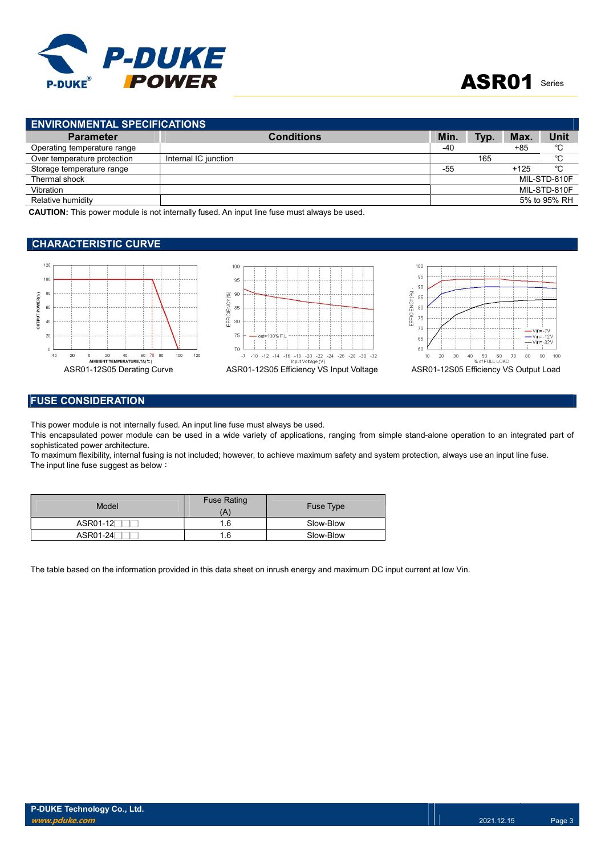

| <b>ENVIRONMENTAL SPECIFICATIONS</b> |                      |            |      |        |              |  |
|-------------------------------------|----------------------|------------|------|--------|--------------|--|
| <b>Parameter</b>                    | <b>Conditions</b>    | <b>Min</b> | Typ. | Max.   | Unit         |  |
| Operating temperature range         |                      | -40        |      | $+85$  | °C           |  |
| Over temperature protection         | Internal IC junction |            | 165  |        | °C           |  |
| Storage temperature range           |                      | -55        |      | $+125$ | °C           |  |
| Thermal shock                       |                      |            |      |        | MIL-STD-810F |  |
| Vibration                           |                      |            |      |        | MIL-STD-810F |  |
| Relative humidity                   |                      |            |      |        | 5% to 95% RH |  |
| - - - - -- - - - - - - -<br>.       | .<br>.               |            |      |        |              |  |

CAUTION: This power module is not internally fused. An input line fuse must always be used.

## CHARACTERISTIC CURVE







## FUSE CONSIDERATION

This power module is not internally fused. An input line fuse must always be used.

This encapsulated power module can be used in a wide variety of applications, ranging from simple stand-alone operation to an integrated part of sophisticated power architecture.

To maximum flexibility, internal fusing is not included; however, to achieve maximum safety and system protection, always use an input line fuse. The input line fuse suggest as below:

| Model                 | <b>Fuse Rating</b><br>Ά | Fuse Type |
|-----------------------|-------------------------|-----------|
| ASR01-12 <sup>-</sup> | 1.6                     | Slow-Blow |
| ASR01-24              | .6                      | Slow-Blow |

The table based on the information provided in this data sheet on inrush energy and maximum DC input current at low Vin.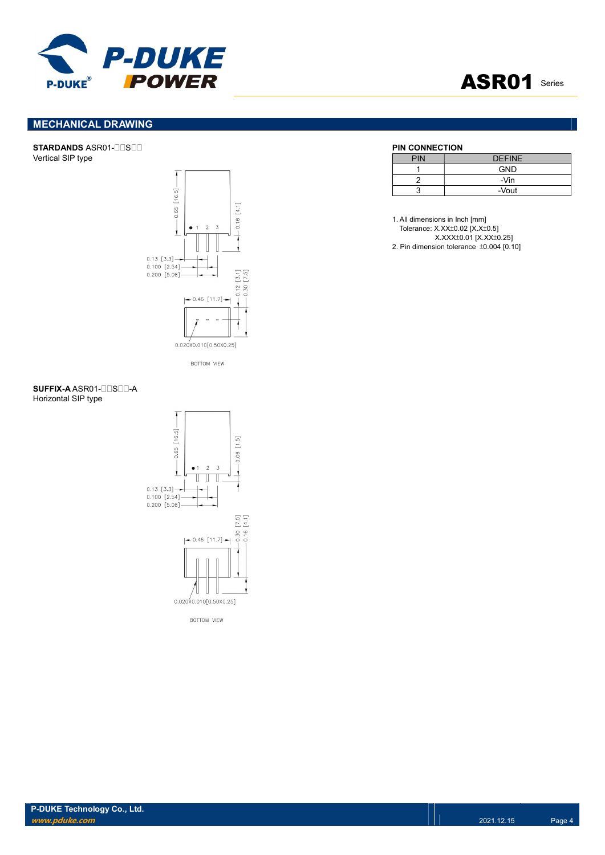

# ASR01 Series

# MECHANICAL DRAWING

### STARDANDS ASR01-OUSOU Vertical SIP type



BOTTOM VIEW

| PIN | <b>DEFINE</b> |
|-----|---------------|
|     | <b>GND</b>    |
|     | -Vin          |
|     | -Vout         |

1. All dimensions in Inch [mm] Tolerance: X.XX±0.02 [X.X±0.5] X.XXX±0.01 [X.XX±0.25] 2. Pin dimension tolerance ±0.004 [0.10]

### SUFFIX-A ASR01-ONSON-A Horizontal SIP type



**BOTTOM VIEW**